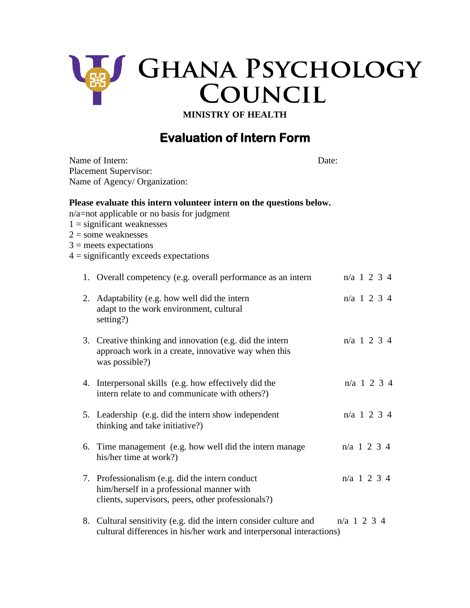

**MINISTRY OF HEALTH**

## **Evaluation of Intern Form**

| Name of Intern:<br><b>Placement Supervisor:</b><br>Name of Agency/ Organization:                                                                                                                                                                     | Date:         |  |
|------------------------------------------------------------------------------------------------------------------------------------------------------------------------------------------------------------------------------------------------------|---------------|--|
| Please evaluate this intern volunteer intern on the questions below.<br>n/a=not applicable or no basis for judgment<br>$1 =$ significant weaknesses<br>$2 =$ some weaknesses<br>$3$ = meets expectations<br>$4 =$ significantly exceeds expectations |               |  |
| 1. Overall competency (e.g. overall performance as an intern                                                                                                                                                                                         | $n/a$ 1 2 3 4 |  |
| 2. Adaptability (e.g. how well did the intern<br>adapt to the work environment, cultural<br>setting?)                                                                                                                                                | n/a 1 2 3 4   |  |
| 3. Creative thinking and innovation (e.g. did the intern<br>approach work in a create, innovative way when this<br>was possible?)                                                                                                                    | $n/a$ 1 2 3 4 |  |
| 4. Interpersonal skills (e.g. how effectively did the<br>intern relate to and communicate with others?)                                                                                                                                              | $n/a$ 1 2 3 4 |  |
| 5. Leadership (e.g. did the intern show independent<br>thinking and take initiative?)                                                                                                                                                                | $n/a$ 1 2 3 4 |  |
| 6. Time management (e.g. how well did the intern manage<br>his/her time at work?)                                                                                                                                                                    | $n/a$ 1 2 3 4 |  |
| 7. Professionalism (e.g. did the intern conduct<br>him/herself in a professional manner with<br>clients, supervisors, peers, other professionals?)                                                                                                   | $n/a$ 1 2 3 4 |  |
| 8. Cultural sensitivity (e.g. did the intern consider culture and<br>cultural differences in his/her work and interpersonal interactions)                                                                                                            | $n/a$ 1 2 3 4 |  |